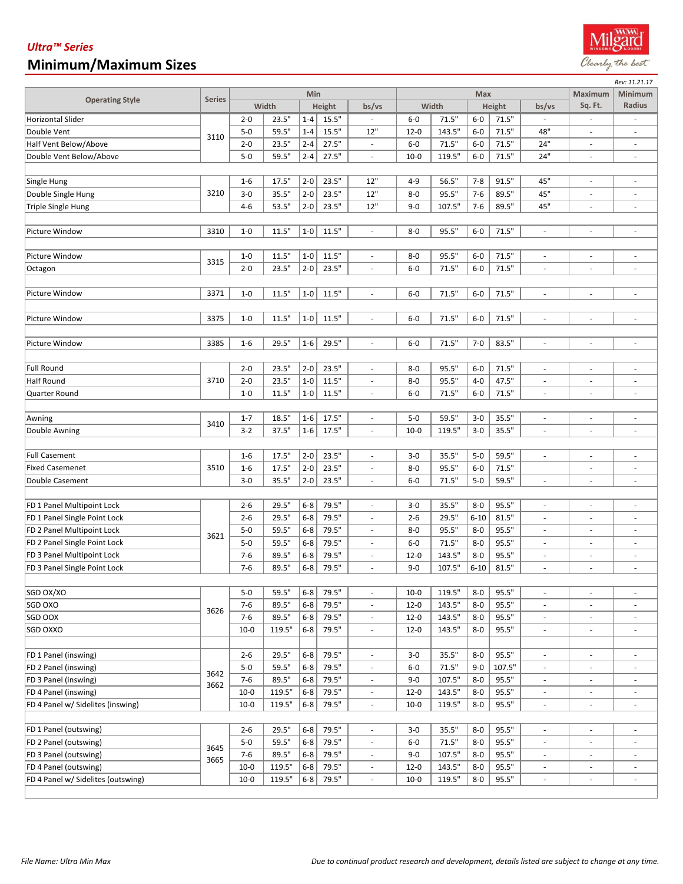## *Ultra™ Series* **Minimum/Maximum Sizes**

|                                    |               |          |                 |         |        |                          |          |        |          | Rev: 11.21.17 |                          |                          |                          |
|------------------------------------|---------------|----------|-----------------|---------|--------|--------------------------|----------|--------|----------|---------------|--------------------------|--------------------------|--------------------------|
| <b>Operating Style</b>             | <b>Series</b> | Min      |                 |         |        |                          |          | Max    |          |               | Maximum                  | Minimum                  |                          |
|                                    |               |          | Width           |         | Height | bs/vs                    |          | Width  |          | Height        | bs/vs                    | Sq. Ft.                  | Radius                   |
| <b>Horizontal Slider</b>           |               | $2 - 0$  | 23.5"           | $1 - 4$ | 15.5"  |                          | $6-0$    | 71.5"  | $6-0$    | 71.5"         |                          |                          |                          |
| Double Vent                        | 3110          | $5-0$    | 59.5"           | $1 - 4$ | 15.5"  | 12"                      | $12 - 0$ | 143.5" | $6-0$    | 71.5"         | 48"                      | ä,                       |                          |
| Half Vent Below/Above              |               | $2 - 0$  | 23.5"           | $2 - 4$ | 27.5"  | $\overline{\phantom{a}}$ | $6-0$    | 71.5"  | $6-0$    | 71.5"         | 24"                      | $\bar{a}$                | ٠                        |
| Double Vent Below/Above            |               | $5 - 0$  | 59.5"           | $2 - 4$ | 27.5"  | $\omega$                 | $10-0$   | 119.5" | $6-0$    | 71.5"         | 24"                      | ÷,                       | $\blacksquare$           |
|                                    |               |          |                 |         |        |                          |          |        |          |               |                          |                          |                          |
| Single Hung                        | 3210          | $1-6$    | 17.5"           | $2 - 0$ | 23.5"  | 12"                      | $4 - 9$  | 56.5"  | $7 - 8$  | 91.5"         | 45"                      | ÷,                       | ÷,                       |
| Double Single Hung                 |               | $3-0$    | 35.5"           | $2 - 0$ | 23.5"  | 12"                      | $8 - 0$  | 95.5"  | $7 - 6$  | 89.5"         | 45"                      | ä,                       | $\overline{\phantom{0}}$ |
| <b>Triple Single Hung</b>          |               | $4 - 6$  | 53.5"           | $2 - 0$ | 23.5"  | 12"                      | $9 - 0$  | 107.5" | $7-6$    | 89.5"         | 45"                      | ä,                       | ä,                       |
|                                    |               |          |                 |         |        |                          |          |        |          |               |                          |                          |                          |
| Picture Window                     | 3310          | $1-0$    | 11.5"           | $1-0$   | 11.5"  | ÷,                       | $8 - 0$  | 95.5"  | $6-0$    | 71.5"         | $\sim$                   | ÷,                       | $\overline{\phantom{a}}$ |
|                                    |               |          |                 |         |        |                          |          |        |          |               |                          |                          |                          |
| Picture Window                     | 3315          | $1-0$    | 11.5"           | $1-0$   | 11.5"  |                          | $8-0$    | 95.5"  | $6-0$    | 71.5"         |                          | $\overline{\phantom{a}}$ | ÷,                       |
| Octagon                            |               | $2 - 0$  | 23.5"           | $2 - 0$ | 23.5"  | ÷,                       | $6-0$    | 71.5"  | $6-0$    | 71.5"         | ÷.                       | ä,                       | $\overline{\phantom{a}}$ |
|                                    |               |          |                 |         |        |                          |          |        |          |               |                          |                          |                          |
| Picture Window                     | 3371          | $1-0$    | 11.5"           | $1-0$   | 11.5"  |                          | $6-0$    | 71.5"  | $6-0$    | 71.5"         | ÷.                       | $\overline{\phantom{a}}$ | ä,                       |
|                                    |               |          |                 |         |        |                          |          |        |          |               |                          |                          |                          |
|                                    |               |          | 11.5"           |         |        |                          |          | 71.5"  |          |               |                          |                          |                          |
| Picture Window                     | 3375          | $1-0$    |                 | $1-0$   | 11.5"  |                          | $6-0$    |        | $6-0$    | 71.5"         |                          |                          | ä,                       |
|                                    |               |          |                 |         |        |                          |          |        |          |               |                          |                          |                          |
| Picture Window                     | 3385          | $1-6$    | 29.5"           | $1-6$   | 29.5"  |                          | $6-0$    | 71.5"  | $7 - 0$  | 83.5"         | $\overline{\phantom{a}}$ | $\overline{\phantom{a}}$ | $\blacksquare$           |
|                                    |               |          |                 |         |        |                          |          |        |          |               |                          |                          |                          |
| <b>Full Round</b>                  |               | $2 - 0$  | 23.5"           | $2 - 0$ | 23.5"  | $\sim$                   | $8-0$    | 95.5"  | $6-0$    | 71.5"         | ÷.                       | ÷,                       | $\overline{\phantom{0}}$ |
| <b>Half Round</b>                  | 3710          | $2 - 0$  | 23.5"           | $1 - 0$ | 11.5"  | ÷,                       | $8-0$    | 95.5"  | $4-0$    | 47.5"         | ÷.                       | ä,                       | ÷,                       |
| Quarter Round                      |               | $1-0$    | 11.5"           | $1 - 0$ | 11.5"  |                          | $6-0$    | 71.5"  | $6-0$    | 71.5"         |                          |                          |                          |
|                                    |               |          |                 |         |        |                          |          |        |          |               |                          |                          |                          |
| Awning                             | 3410          | $1 - 7$  | 18.5"           | $1-6$   | 17.5"  | $\overline{\phantom{a}}$ | $5-0$    | 59.5"  | $3-0$    | 35.5"         | $\bar{a}$                | ÷,                       | $\overline{\phantom{a}}$ |
| Double Awning                      |               | $3 - 2$  | 37.5"           | $1-6$   | 17.5"  | $\overline{\phantom{a}}$ | $10-0$   | 119.5" | $3-0$    | 35.5"         | $\overline{\phantom{a}}$ | $\overline{\phantom{a}}$ | $\overline{\phantom{a}}$ |
|                                    |               |          |                 |         |        |                          |          |        |          |               |                          |                          |                          |
| <b>Full Casement</b>               |               | $1-6$    | 17.5"           | $2 - 0$ | 23.5"  | $\sim$                   | $3-0$    | 35.5"  | $5-0$    | 59.5"         | ÷.                       | ä,                       | ÷,                       |
| <b>Fixed Casemenet</b>             | 3510          | $1-6$    | 17.5"           | $2 - 0$ | 23.5"  | $\sim$                   | $8-0$    | 95.5"  | $6-0$    | 71.5"         |                          | $\overline{\phantom{a}}$ | ÷,                       |
| Double Casement                    |               | $3-0$    | 35.5"           | $2 - 0$ | 23.5"  |                          | $6-0$    | 71.5"  | $5-0$    | 59.5"         |                          | $\overline{\phantom{m}}$ | $\overline{\phantom{0}}$ |
|                                    |               |          |                 |         |        |                          |          |        |          |               |                          |                          |                          |
| FD 1 Panel Multipoint Lock         |               | $2 - 6$  | 29.5"           | $6-8$   | 79.5"  | $\overline{\phantom{a}}$ | $3 - 0$  | 35.5"  | $8-0$    | 95.5"         | $\overline{\phantom{a}}$ | ÷,                       | ä,                       |
| FD 1 Panel Single Point Lock       |               | $2 - 6$  | 29.5"           | $6-8$   | 79.5"  | $\overline{\phantom{a}}$ | $2 - 6$  | 29.5"  | $6 - 10$ | 81.5"         | $\overline{\phantom{a}}$ | $\overline{\phantom{a}}$ | ä,                       |
| FD 2 Panel Multipoint Lock         | 3621          | $5-0$    | 59.5"           | $6-8$   | 79.5"  |                          | $8-0$    | 95.5"  | $8-0$    | 95.5"         |                          | $\overline{\phantom{a}}$ | $\overline{\phantom{0}}$ |
| FD 2 Panel Single Point Lock       |               | $5-0$    | 59.5"           | $6-8$   | 79.5"  |                          | $6-0$    | 71.5"  | $8-0$    | 95.5"         |                          | ä,                       | ä,                       |
| FD 3 Panel Multipoint Lock         |               | $7-6$    | 89.5"           | $6 - 8$ | 79.5"  | $\sim$                   | $12 - 0$ | 143.5" | $8-0$    | 95.5"         | $\sim$                   | $\overline{\phantom{a}}$ | $\overline{\phantom{a}}$ |
| FD 3 Panel Single Point Lock       |               | $7-6$    | 89.5"           | $6 - 8$ | 79.5"  |                          | $9 - 0$  | 107.5" | $6 - 10$ | 81.5"         |                          |                          | $\overline{\phantom{0}}$ |
|                                    |               |          |                 |         |        |                          |          |        |          |               |                          |                          |                          |
| SGD OX/XO                          |               | $5-0$    | 59.5"           | $6 - 8$ | 79.5"  | $\overline{\phantom{a}}$ | $10-0$   | 119.5" | $8-0$    | 95.5"         | $\overline{\phantom{a}}$ | $\overline{\phantom{a}}$ | $\overline{\phantom{0}}$ |
| SGD OXO                            | 3626          | $7 - 6$  | 89.5"           | $6 - 8$ | 79.5"  |                          |          | 143.5" | $8-0$    | 95.5"         |                          |                          | ÷.                       |
| SGD OOX                            |               |          |                 |         |        | $\overline{\phantom{a}}$ | $12 - 0$ |        |          |               | $\overline{\phantom{a}}$ | $\overline{\phantom{a}}$ |                          |
|                                    |               | $7 - 6$  | 89.5"           | $6-8$   | 79.5"  | $\overline{\phantom{a}}$ | $12 - 0$ | 143.5" | $8-0$    | 95.5"         | $\overline{\phantom{a}}$ | $\overline{\phantom{a}}$ | $\overline{\phantom{a}}$ |
| SGD OXXO                           |               | $10 - 0$ | 119.5"          | $6-8$   | 79.5"  | $\overline{\phantom{a}}$ | $12 - 0$ | 143.5" | 8-0      | 95.5"         | $\overline{\phantom{a}}$ | $\overline{\phantom{a}}$ | $\overline{\phantom{a}}$ |
|                                    |               |          |                 |         |        |                          |          |        |          |               |                          |                          |                          |
| FD 1 Panel (inswing)               | 3642<br>3662  | $2 - 6$  | 29.5"           | $6 - 8$ | 79.5"  |                          | $3 - 0$  | 35.5"  | $8-0$    | 95.5"         |                          | $\overline{\phantom{a}}$ | $\overline{\phantom{a}}$ |
| FD 2 Panel (inswing)               |               | $5-0$    | 59.5"           | $6-8$   | 79.5"  | $\blacksquare$           | $6-0$    | 71.5"  | $9 - 0$  | 107.5"        | $\overline{\phantom{a}}$ | $\overline{\phantom{a}}$ | $\overline{\phantom{a}}$ |
| FD 3 Panel (inswing)               |               | $7 - 6$  | 89.5"           | $6 - 8$ | 79.5"  | $\blacksquare$           | $9 - 0$  | 107.5" | $8-0$    | 95.5"         | $\overline{\phantom{a}}$ | $\overline{\phantom{a}}$ | $\blacksquare$           |
| FD 4 Panel (inswing)               |               | $10 - 0$ | 119.5"          | $6 - 8$ | 79.5"  | $\overline{\phantom{a}}$ | $12 - 0$ | 143.5" | $8-0$    | 95.5"         | $\overline{\phantom{a}}$ | $\overline{\phantom{a}}$ | $\overline{\phantom{a}}$ |
| FD 4 Panel w/ Sidelites (inswing)  |               | $10 - 0$ | 119.5"          | $6-8$   | 79.5"  | $\overline{\phantom{a}}$ | $10 - 0$ | 119.5" | 8-0      | 95.5"         | $\overline{\phantom{a}}$ | $\overline{\phantom{a}}$ | $\overline{\phantom{a}}$ |
|                                    |               |          |                 |         |        |                          |          |        |          |               |                          |                          |                          |
| FD 1 Panel (outswing)              | 3645<br>3665  | $2 - 6$  | 29.5"           | $6 - 8$ | 79.5"  | ÷.                       | $3-0$    | 35.5"  | $8-0$    | 95.5"         | ÷.                       | $\overline{\phantom{a}}$ | $\overline{\phantom{a}}$ |
| FD 2 Panel (outswing)              |               | $5-0$    | 59.5"           | $6 - 8$ | 79.5"  | ÷.                       | $6-0$    | 71.5"  | $8-0$    | 95.5"         | $\overline{\phantom{a}}$ | $\overline{\phantom{a}}$ | $\overline{\phantom{a}}$ |
| FD 3 Panel (outswing)              |               | $7 - 6$  | 89.5"           | $6 - 8$ | 79.5"  | $\overline{\phantom{a}}$ | $9 - 0$  | 107.5" | $8-0$    | 95.5"         | $\overline{\phantom{a}}$ | $\overline{\phantom{a}}$ | $\overline{\phantom{0}}$ |
| FD 4 Panel (outswing)              |               | $10-0$   | $119.5^{\circ}$ | $6-8$   | 79.5"  | $\blacksquare$           | $12 - 0$ | 143.5" | $8-0$    | 95.5"         | $\overline{\phantom{a}}$ | $\overline{\phantom{a}}$ | $\overline{\phantom{a}}$ |
| FD 4 Panel w/ Sidelites (outswing) |               | $10 - 0$ | 119.5"          | $6-8$   | 79.5"  | $\overline{\phantom{a}}$ | $10 - 0$ | 119.5" | $8-0$    | 95.5"         | $\overline{\phantom{a}}$ | $\overline{\phantom{a}}$ | $\overline{\phantom{a}}$ |
|                                    |               |          |                 |         |        |                          |          |        |          |               |                          |                          |                          |